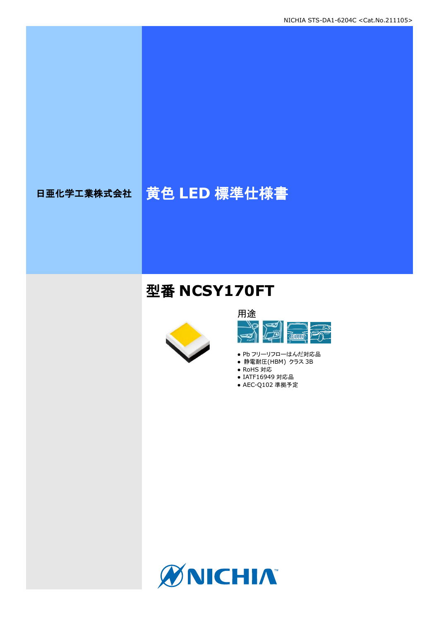# 日亜化学工業株式会社 黄色 **LED** 標準仕様書

## 型番 **NCSY170FT**





- Pb フリーリフローはんだ対応品
- 静電耐圧(HBM) クラス 3B
- RoHS 対応 ● IATF16949 対応品
- AEC-Q102 準拠予定

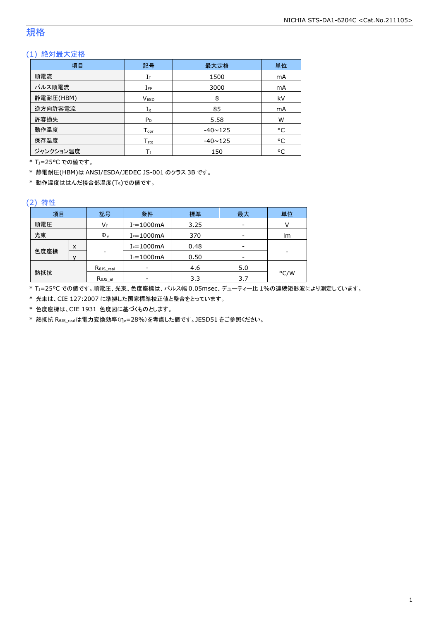### 規格

### (1) 絶対最大定格

| 項目        | 記号                 | 最大定格           | 単位 |
|-----------|--------------------|----------------|----|
| 順電流       | IF                 | 1500           | mA |
| パルス順電流    | $I_{FP}$           | 3000           | mA |
| 静電耐圧(HBM) | <b>VESD</b>        | 8              | kV |
| 逆方向許容電流   | $I_{R}$            | 85             | mA |
| 許容損失      | $P_D$              | 5.58           | W  |
| 動作温度      | $T_{\mathsf{opr}}$ | $-40 \sim 125$ | °C |
| 保存温度      | $T_{sta}$          | $-40 \sim 125$ | °C |
| ジャンクション温度 | Т١                 | 150            | °C |

\* TJ=25°C での値です。

\* 静電耐圧(HBM)は ANSI/ESDA/JEDEC JS-001 のクラス 3B です。

\* 動作温度ははんだ接合部温度(TS)での値です。

#### (2) 特性

| 項目   |   | 記号                   | 条件             | 標準   | 最大  | 単位   |
|------|---|----------------------|----------------|------|-----|------|
| 順電圧  |   | VF                   | $I_F = 1000mA$ | 3.25 |     |      |
| 光束   |   | $\Phi_{v}$           | $I_F = 1000mA$ | 370  |     | lm   |
|      | X |                      | $I_F = 1000mA$ | 0.48 |     |      |
| 色度座標 |   | ۰                    | $I_F = 1000mA$ | 0.50 |     | -    |
|      |   | $R_{\theta}$ JS_real |                | 4.6  | 5.0 |      |
| 熱抵抗  |   | Rejs el              |                | 3.3  | 3.7 | °C/W |

\* TJ=25°C での値です。順電圧、光束、色度座標は、パルス幅 0.05msec、デューティー比 1%の連続矩形波により測定しています。

\* 光束は、CIE 127:2007 に準拠した国家標準校正値と整合をとっています。

\* 色度座標は、CIE 1931 色度図に基づくものとします。

\* 熱抵抗 RθJS\_realは電力変換効率(ηe=28%)を考慮した値です。JESD51 をご参照ください。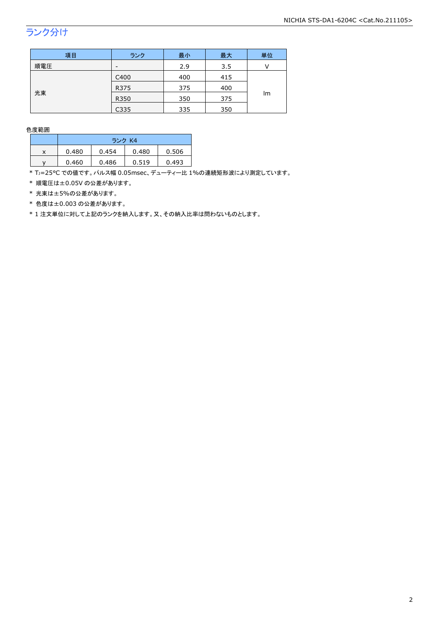## ランク分け

| 項目  | ランク  | 最小  | 最大  | 単位 |  |
|-----|------|-----|-----|----|--|
| 順電圧 | -    | 2.9 | 3.5 |    |  |
|     | C400 | 400 | 415 |    |  |
|     | R375 | 375 | 400 |    |  |
| 光束  | R350 | 350 | 375 | Im |  |
|     | C335 | 335 | 350 |    |  |

#### 色度範囲

|   | ランク K4 |       |       |       |
|---|--------|-------|-------|-------|
| x | 0.480  | 0.454 | 0.480 | 0.506 |
|   | 0.460  | 0.486 | 0.519 | 0.493 |

\* TJ=25°C での値です。パルス幅 0.05msec、デューティー比 1%の連続矩形波により測定しています。

\* 順電圧は±0.05V の公差があります。

\* 光束は±5%の公差があります。

\* 色度は±0.003 の公差があります。

\* 1 注文単位に対して上記のランクを納入します。又、その納入比率は問わないものとします。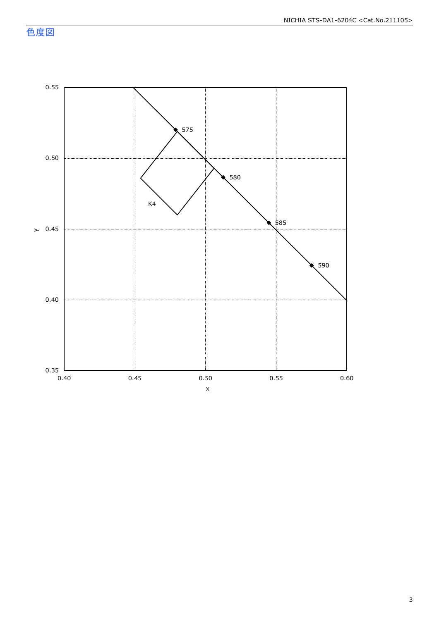色度図

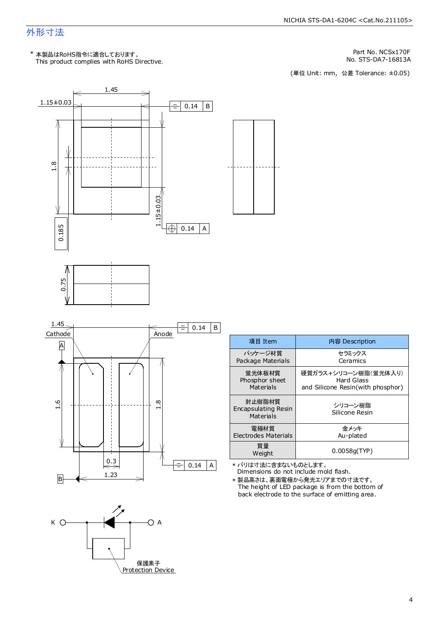### 外形寸法

This product complies with RoHS Directive. \* 本製品はRoHS指令に適合しております。

Part No. NCSx170F

No. STS-DA7-16813A<br>(単位 Unit: mm,公差 Tolerance: ±0.05)



| 項目 Item                                    | 内容 Description                    |
|--------------------------------------------|-----------------------------------|
| パッケージ材質                                    | セラミックス                            |
| Package Materials                          | Ceramics                          |
| 蛍光体板材質                                     | 硬質ガラス+シリコ―ン樹脂(蛍光体入り)              |
| Phosphor sheet                             | Hard Glass                        |
| Materials                                  | and Silicone Resin(with phosphor) |
| 封止樹脂材質<br>Encapsulating Resin<br>Materials | シリコーン樹脂<br>Silicone Resin         |
| 雷極材質                                       | 金メッキ                              |
| Electrodes Materials                       | Au-plated                         |
| 質量<br>Weight                               | 0.0058q(TYP)                      |

\* バリは寸法に含まないものとします。

Dimensions do not include mold flash. \* 製品高さは、裏面電極から発光エリアまでの寸法です。

The height of LED package is from the bottom of back electrode to the surface of emitting area.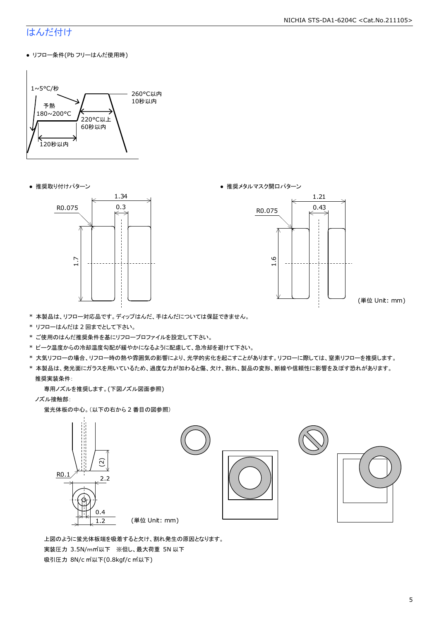#### NICHIA STS-DA1-6204C <Cat.No.211105>

### はんだ付け

● リフロー条件(Pb フリーはんだ使用時)







(単位 Unit: mm)

- \* 本製品は、リフロー対応品です。ディップはんだ、手はんだについては保証できません。
- \* リフローはんだは 2 回までとして下さい。
- \* ご使用のはんだ推奨条件を基にリフロープロファイルを設定して下さい。
- \* ピーク温度からの冷却温度勾配が緩やかになるように配慮して、急冷却を避けて下さい。
- \* 大気リフローの場合、リフロー時の熱や雰囲気の影響により、光学的劣化を起こすことがあります。リフローに際しては、窒素リフローを推奨します。
- \* 本製品は、発光面にガラスを用いているため、過度な力が加わると傷、欠け、割れ、製品の変形、断線や信頼性に影響を及ぼす恐れがあります。 推奨実装条件:

専用ノズルを推奨します。(下図ノズル図面参照)

ノズル接触部:

蛍光体板の中心。(以下の右から 2 番目の図参照)



 上図のように蛍光体板端を吸着すると欠け、割れ発生の原因となります。 実装圧力 3.5N/m㎡以下 ※但し、最大荷重 5N 以下 吸引圧力 8N/c ㎡以下(0.8kgf/c ㎡以下)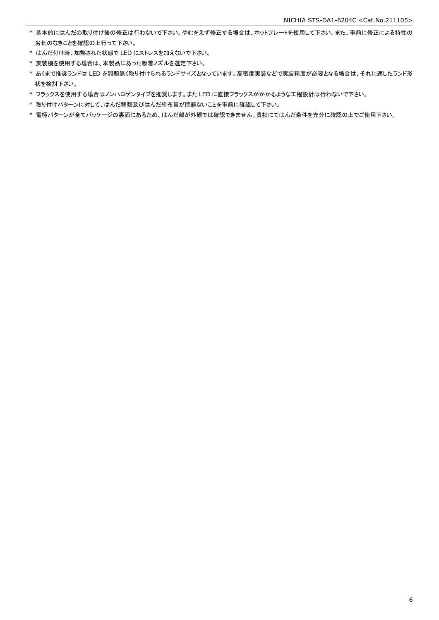- \* 基本的にはんだの取り付け後の修正は行わないで下さい。やむをえず修正する場合は、ホットプレートを使用して下さい。また、事前に修正による特性の 劣化のなきことを確認の上行って下さい。
- \* はんだ付け時、加熱された状態で LED にストレスを加えないで下さい。
- \* 実装機を使用する場合は、本製品にあった吸着ノズルを選定下さい。
- \* あくまで推奨ランドは LED を問題無く取り付けられるランドサイズとなっています。高密度実装などで実装精度が必要となる場合は、それに適したランド形 状を検討下さい。
- \* フラックスを使用する場合はノンハロゲンタイプを推奨します。また LED に直接フラックスがかかるような工程設計は行わないで下さい。
- \* 取り付けパターンに対して、はんだ種類及びはんだ塗布量が問題ないことを事前に確認して下さい。
- \* 電極パターンが全てパッケージの裏面にあるため、はんだ部が外観では確認できません。貴社にてはんだ条件を充分に確認の上でご使用下さい。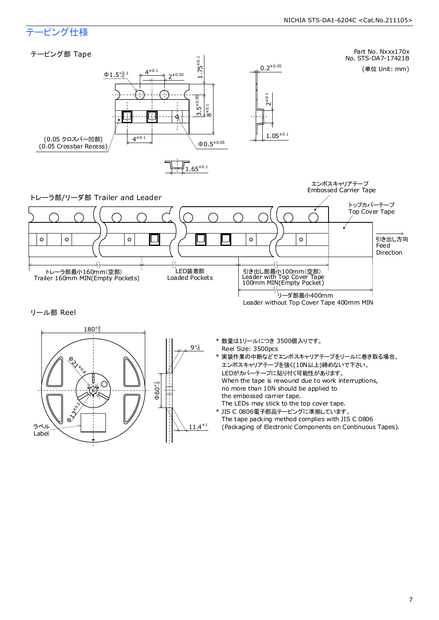### テーピング仕様

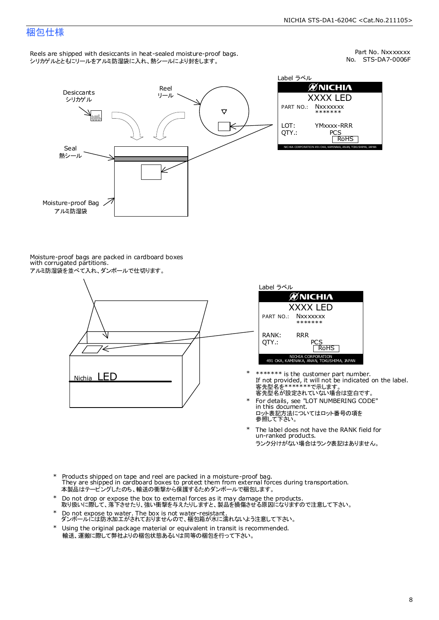### 梱包仕様

Reels are shipped with desiccants in heat-sealed moisture-proof bags. シリカゲルとともにリールをアルミ防湿袋に入れ、熱シールにより封をします。

No. STS-DA7-0006F Part No. Nxxxxxxx



| Label ラベル       |                                                              |  |  |  |
|-----------------|--------------------------------------------------------------|--|--|--|
| ØNICHIA         |                                                              |  |  |  |
| <b>XXXX LED</b> |                                                              |  |  |  |
| PART NO.:       | <b>Nxxxxxxx</b><br>*******                                   |  |  |  |
| LOT:<br>OTY.:   | YMxxxx-RRR<br>PCS<br><b>RoHS</b>                             |  |  |  |
|                 | NICHIA CORPORATION 491 OKA, KAMINAKA, ANAN, TOKUSHIMA, JAPAN |  |  |  |

Moisture-proof bags are packed in cardboard boxes with corrugated partitions. アルミ防湿袋を並べて入れ、ダンボールで仕切ります。





- 客先型名を\*\*\*\*\*\*\*\*で示します。<br>客先型名が設定されていない場合は空白です。 If not provided, it will not be indicated on the label. \*\*\*\*\*\*\* is the customer part number.
- For details, see "LOT NUMBERING CODE" in this document. ロット表記方法についてはロット番号の項を<br>参照して下さい。 \*
- The label does not have the RANK field for un-ranked products. ランク分けがない場合はランク表記はありません。 \*
- Products shipped on tape and reel are packed in a moisture-proof bag. They are shipped in cardboard boxes to protect them from external forces during transportation. 本製品はテーピングしたのち、輸送の衝撃から保護するためダンボールで梱包します。 \*
- Do not drop or expose the box to external forces as it may damage the products. 取り扱いに際して、落下させたり、強い衝撃を与えたりしますと、製品を損傷させる原因になりますので注意して下さい。 \*
- Do not expose to water. The box is not water-resistant. ダンボールには防水加工がされておりませんので、梱包箱が水に濡れないよう注意して下さい。 \*
- \* Using the original package material or equivalent in transit is recommended. 輸送、運搬に際して弊社よりの梱包状態あるいは同等の梱包を行って下さい。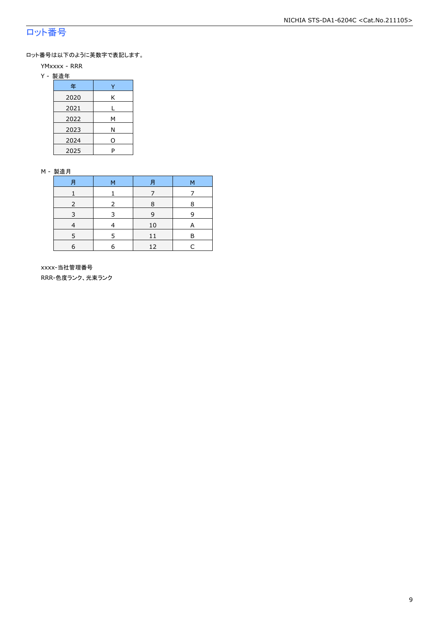### ロット番号

ロット番号は以下のように英数字で表記します。

- YMxxxx RRR
- Y 製造年

| 年    |   |
|------|---|
| 2020 | Κ |
| 2021 |   |
| 2022 | м |
| 2023 | Ν |
| 2024 | ი |
| 2025 | P |

#### M - 製造月

|   | M | F  | М |
|---|---|----|---|
|   |   |    |   |
|   | 2 | 8  | 8 |
|   |   | q  | q |
|   |   | 10 |   |
|   |   |    | в |
| 6 |   | 12 |   |

 xxxx-当社管理番号 RRR-色度ランク、光束ランク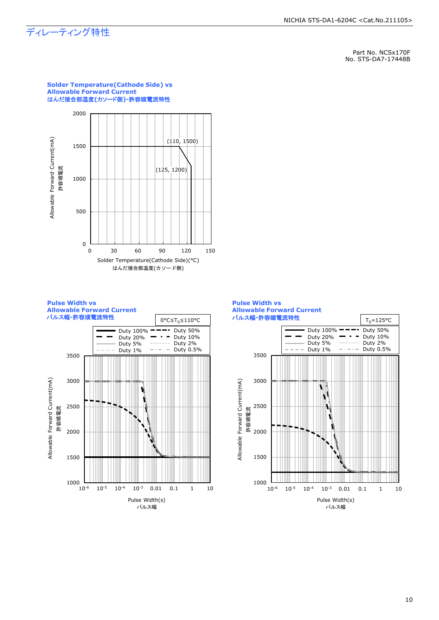### ディレーティング特性

Part No. NCSx170F No. STS-DA7-17448B







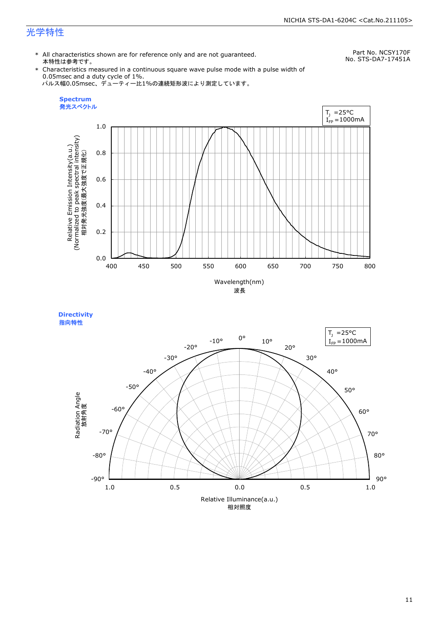### 光学特性

\* All characteristics shown are for reference only and are not guaranteed. 本特性は参考です。

Part No. NCSY170F No. STS-DA7-17451A

\* Characteristics measured in a continuous square wave pulse mode with a pulse width of 0.05msec and a duty cycle of 1%. パルス幅0.05msec、デューティー比1%の連続矩形波により測定しています。



**Directivity**  指向特性

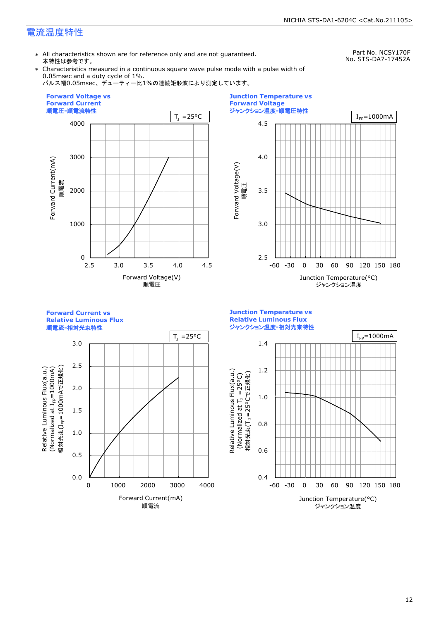### 電流温度特性

\* All characteristics shown are for reference only and are not guaranteed. 本特性は参考です。

Part No. NCSY170F No. STS-DA7-17452A

\* Characteristics measured in a continuous square wave pulse mode with a pulse width of 0.05msec and a duty cycle of 1%.

パルス幅0.05msec、デューティー比1%の連続矩形波により測定しています。





**Forward Current vs Relative Luminous Flux**



3.0 2.5 Relative Luminous Flux(a.u.)<br>(Normalized at I<sub>FP</sub>=1000mA) 相対光束(I<sub>FP</sub>=1000mAで正規化) 相対光束(IFP=1000mAで正規化)  $(100001$  at  $I_{\text{fp}}$  at  $I_{\text{F}}$  because  $\lambda$ Relative Luminous Flux(a.u.) 2.0 1.5 1.0 0.5 0.0 0 1000 2000 3000 4000 Forward Current(mA) 順電流

**Junction Temperature vs Relative Luminous Flux** ジャンクション温度**-**相対光束特性

Relative Luminous Flux(a.u.)

Relative Luminous Flux(a.u.)

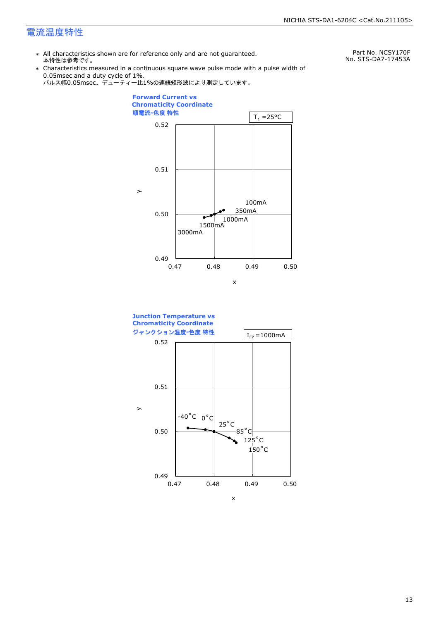### 電流温度特性

\* All characteristics shown are for reference only and are not guaranteed. 本特性は参考です。

Part No. NCSY170F No. STS-DA7-17453A

\* Characteristics measured in a continuous square wave pulse mode with a pulse width of 0.05msec and a duty cycle of 1%.





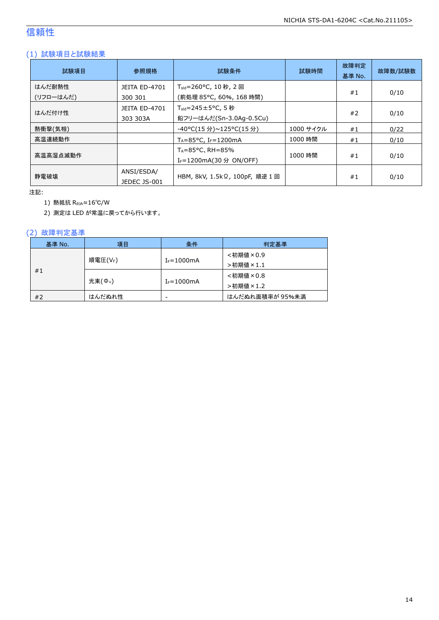### 信頼性

### (1) 試験項目と試験結果

| 試験項目                | 参照規格                             | 試験条件                                                                   | 試験時間      | 故障判定<br>基準 No. | 故障数/試験数 |
|---------------------|----------------------------------|------------------------------------------------------------------------|-----------|----------------|---------|
| はんだ耐熱性<br>(リフローはんだ) | <b>JEITA ED-4701</b><br>300 301  | T <sub>sld</sub> =260°C, 10 秒, 2 回<br>(前処理 85℃, 60%, 168 時間)           |           | #1             | 0/10    |
| はんだ付け性              | <b>JEITA ED-4701</b><br>303 303A | $T_{\text{std}} = 245 \pm 5^{\circ}$ C, 5 秒<br>鉛フリーはんだ(Sn-3.0Ag-0.5Cu) |           | #2             | 0/10    |
| 熱衝撃(気相)             |                                  | -40°C(15 分)~125°C(15 分)                                                | 1000 サイクル | #1             | 0/22    |
| 高温連続動作              |                                  | $T_A = 85^{\circ}$ C, I <sub>F</sub> =1200mA                           | 1000 時間   | #1             | 0/10    |
| 高温高湿点滅動作            |                                  | $T_A = 85^{\circ}$ C, RH = 85%<br>I <sub>F</sub> =1200mA(30 分 ON/OFF)  | 1000 時間   | #1             | 0/10    |
| 静雷破壊                | ANSI/ESDA/<br>JEDEC JS-001       | HBM, 8kV, 1.5kΩ, 100pF, 順逆 1 回                                         |           | #1             | 0/10    |

注記:

1) 熱抵抗 RθJA≈16℃/W

2) 測定は LED が常温に戻ってから行います。

### (2) 故障判定基準

| 基準 No. | 項目                  | 条件              | 判定基準            |
|--------|---------------------|-----------------|-----------------|
|        |                     |                 | <初期値×0.9        |
| #1     | 順電圧(VF)             | $I_F = 1000$ mA | >初期値×1.1        |
|        |                     |                 | <初期値×0.8        |
|        | 光束(Φ <sub>ν</sub> ) | $I_F = 1000$ mA | >初期値×1.2        |
| #2     | はんだぬれ性              | -               | はんだぬれ面積率が 95%未満 |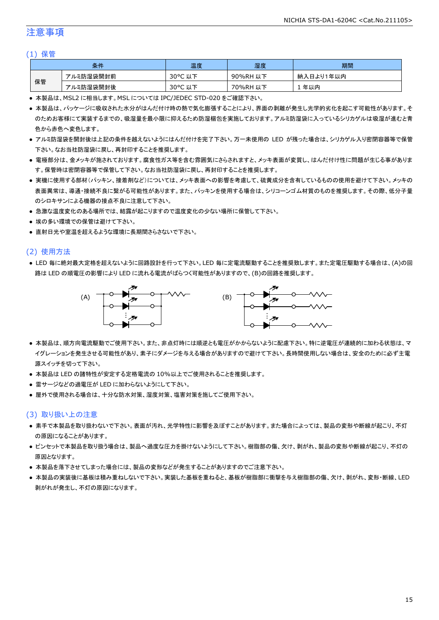### 注意事項

#### (1) 保管

|    | 条件        | 温度                     | 湿度          | 期間              |
|----|-----------|------------------------|-------------|-----------------|
|    | アルミ防湿袋開封前 | $30^{\circ}$ C<br>以下   | 90%RH<br>以下 | ∛入日より1年以内<br>納. |
| 保管 | アルミ防湿袋開封後 | $30^{\circ}$ C<br>. 以下 | 70%RH<br>以下 | 年以内             |

● 本製品は、MSL2 に相当します。MSL については IPC/JEDEC STD-020 をご確認下さい。

- 本製品は、パッケージに吸収された水分がはんだ付け時の熱で気化膨張することにより、界面の剥離が発生し光学的劣化を起こす可能性があります。そ のためお客様にて実装するまでの、吸湿量を最小限に抑えるため防湿梱包を実施しております。アルミ防湿袋に入っているシリカゲルは吸湿が進むと青 色から赤色へ変色します。
- アルミ防湿袋を開封後は上記の条件を越えないようにはんだ付けを完了下さい。万一未使用の LED が残った場合は、シリカゲル入り密閉容器等で保管 下さい。なお当社防湿袋に戻し、再封印することを推奨します。
- 電極部分は、金メッキが施されております。腐食性ガス等を含む雰囲気にさらされますと、メッキ表面が変質し、はんだ付け性に問題が生じる事がありま す。保管時は密閉容器等で保管して下さい。なお当社防湿袋に戻し、再封印することを推奨します。
- 実機に使用する部材(パッキン、接着剤など)については、メッキ表面への影響を考慮して、硫黄成分を含有しているものの使用を避けて下さい。メッキの 表面異常は、導通・接続不良に繋がる可能性があります。また、パッキンを使用する場合は、シリコーンゴム材質のものを推奨します。その際、低分子量 のシロキサンによる機器の接点不良に注意して下さい。
- 急激な温度変化のある場所では、結露が起こりますので温度変化の少ない場所に保管して下さい。
- 埃の多い環境での保管は避けて下さい。
- 直射日光や室温を超えるような環境に長期間さらさないで下さい。

#### (2) 使用方法

● LED 毎に絶対最大定格を超えないように回路設計を行って下さい。LED 毎に定電流駆動することを推奨致します。また定電圧駆動する場合は、(A)の回 路は LED の順電圧の影響により LED に流れる電流がばらつく可能性がありますので、(B)の回路を推奨します。



- 本製品は、順方向電流駆動でご使用下さい。また、非点灯時には順逆とも電圧がかからないように配慮下さい。特に逆電圧が連続的に加わる状態は、マ イグレーションを発生させる可能性があり、素子にダメージを与える場合がありますので避けて下さい。長時間使用しない場合は、安全のために必ず主電 源スイッチを切って下さい。
- 本製品は LED の諸特性が安定する定格電流の 10%以上でご使用されることを推奨します。
- 雷サージなどの過電圧が LED に加わらないようにして下さい。
- 屋外で使用される場合は、十分な防水対策、湿度対策、塩害対策を施してご使用下さい。

#### (3) 取り扱い上の注意

- 素手で本製品を取り扱わないで下さい。表面が汚れ、光学特性に影響を及ぼすことがあります。また場合によっては、製品の変形や断線が起こり、不灯 の原因になることがあります。
- ピンセットで本製品を取り扱う場合は、製品へ過度な圧力を掛けないようにして下さい。樹脂部の傷、欠け、剥がれ、製品の変形や断線が起こり、不灯の 原因となります。
- 本製品を落下させてしまった場合には、製品の変形などが発生することがありますのでご注意下さい。
- 本製品の実装後に基板は積み重ねしないで下さい。実装した基板を重ねると、基板が樹脂部に衝撃を与え樹脂部の傷、欠け、剥がれ、変形・断線、LED 剥がれが発生し、不灯の原因になります。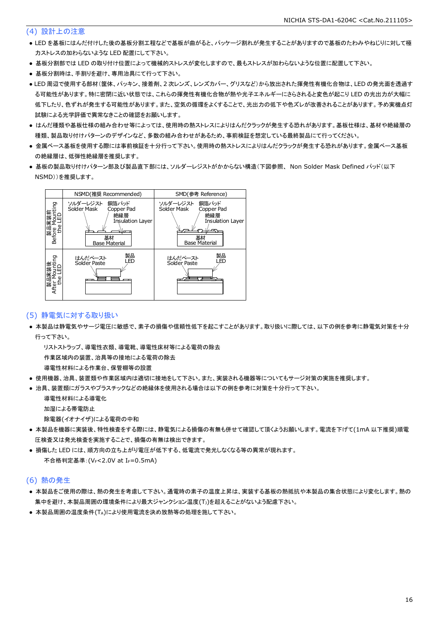#### (4) 設計上の注意

- LED を基板にはんだ付けした後の基板分割工程などで基板が曲がると、パッケージ割れが発生することがありますので基板のたわみやねじりに対して極 力ストレスの加わらないような LED 配置にして下さい。
- 基板分割部では LED の取り付け位置によって機械的ストレスが変化しますので、最もストレスが加わらないような位置に配置して下さい。
- 基板分割時は、手割りを避け、専用治具にて行って下さい。
- LED 周辺で使用する部材(筐体、パッキン、接着剤、2 次レンズ、レンズカバー、グリスなど)から放出された揮発性有機化合物は、LED の発光面を透過す る可能性があります。特に密閉に近い状態では、これらの揮発性有機化合物が熱や光子エネルギーにさらされると変色が起こり LED の光出力が大幅に 低下したり、色ずれが発生する可能性があります。また、空気の循環をよくすることで、光出力の低下や色ズレが改善されることがあります。予め実機点灯 試験による光学評価で異常なきことの確認をお願いします。
- はんだ種類や基板仕様の組み合わせ等によっては、使用時の熱ストレスによりはんだクラックが発生する恐れがあります。基板仕様は、基材や絶縁層の 種類、製品取り付けパターンのデザインなど、多数の組み合わせがあるため、事前検証を想定している最終製品にて行ってください。
- 金属ベース基板を使用する際には事前検証を十分行って下さい。使用時の熱ストレスによりはんだクラックが発生する恐れがあります。金属ベース基板 の絶縁層は、低弾性絶縁層を推奨します。
- 基板の製品取り付けパターン部及び製品直下部には、ソルダーレジストがかからない構造(下図参照、 Non Solder Mask Defined パッド(以下 NSMD))を推奨します。



#### (5) 静電気に対する取り扱い

● 本製品は静電気やサージ電圧に敏感で、素子の損傷や信頼性低下を起こすことがあります。取り扱いに際しては、以下の例を参考に静電気対策を十分 行って下さい。

 リストストラップ、導電性衣類、導電靴、導電性床材等による電荷の除去 作業区域内の装置、治具等の接地による電荷の除去

導電性材料による作業台、保管棚等の設置

- 使用機器、治具、装置類や作業区域内は適切に接地をして下さい。また、実装される機器等についてもサージ対策の実施を推奨します。
- 治具、装置類にガラスやプラスチックなどの絶縁体を使用される場合は以下の例を参考に対策を十分行って下さい。

 導電性材料による導電化 加湿による帯電防止

除電器(イオナイザ)による電荷の中和

- 本製品を機器に実装後、特性検査をする際には、静電気による損傷の有無も併せて確認して頂くようお願いします。電流を下げて(1mA 以下推奨)順電 圧検査又は発光検査を実施することで、損傷の有無は検出できます。
- 損傷した LED には、順方向の立ち上がり電圧が低下する、低電流で発光しなくなる等の異常が現れます。 不合格判定基準: (VF<2.0V at IF=0.5mA)

#### (6) 熱の発生

- 本製品をご使用の際は、熱の発生を考慮して下さい。通電時の素子の温度上昇は、実装する基板の熱抵抗や本製品の集合状態により変化します。熱の 集中を避け、本製品周囲の環境条件により最大ジャンクション温度(TJ)を超えることがないよう配慮下さい。
- 本製品周囲の温度条件(TA)により使用電流を決め放熱等の処理を施して下さい。